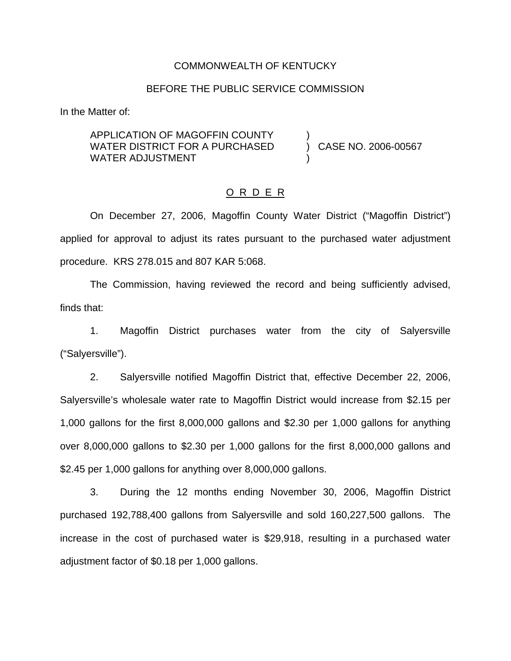### COMMONWEALTH OF KENTUCKY

## BEFORE THE PUBLIC SERVICE COMMISSION

)

)

In the Matter of:

APPLICATION OF MAGOFFIN COUNTY WATER DISTRICT FOR A PURCHASED WATER ADJUSTMENT

) CASE NO. 2006-00567

## O R D E R

On December 27, 2006, Magoffin County Water District ("Magoffin District") applied for approval to adjust its rates pursuant to the purchased water adjustment procedure. KRS 278.015 and 807 KAR 5:068.

The Commission, having reviewed the record and being sufficiently advised, finds that:

1. Magoffin District purchases water from the city of Salyersville ("Salyersville").

2. Salyersville notified Magoffin District that, effective December 22, 2006, Salyersville's wholesale water rate to Magoffin District would increase from \$2.15 per 1,000 gallons for the first 8,000,000 gallons and \$2.30 per 1,000 gallons for anything over 8,000,000 gallons to \$2.30 per 1,000 gallons for the first 8,000,000 gallons and \$2.45 per 1,000 gallons for anything over 8,000,000 gallons.

3. During the 12 months ending November 30, 2006, Magoffin District purchased 192,788,400 gallons from Salyersville and sold 160,227,500 gallons. The increase in the cost of purchased water is \$29,918, resulting in a purchased water adjustment factor of \$0.18 per 1,000 gallons.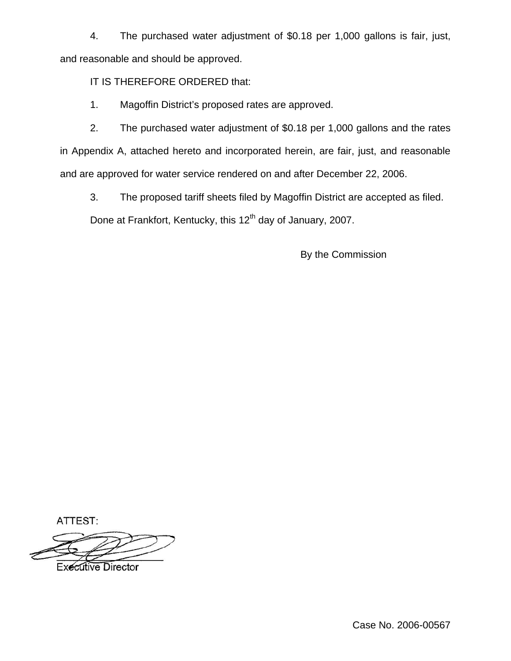4. The purchased water adjustment of \$0.18 per 1,000 gallons is fair, just, and reasonable and should be approved.

IT IS THEREFORE ORDERED that:

1. Magoffin District's proposed rates are approved.

2. The purchased water adjustment of \$0.18 per 1,000 gallons and the rates in Appendix A, attached hereto and incorporated herein, are fair, just, and reasonable and are approved for water service rendered on and after December 22, 2006.

3. The proposed tariff sheets filed by Magoffin District are accepted as filed.

Done at Frankfort, Kentucky, this 12<sup>th</sup> day of January, 2007.

By the Commission

ATTEST:

**Executive Director** 

Case No. 2006-00567